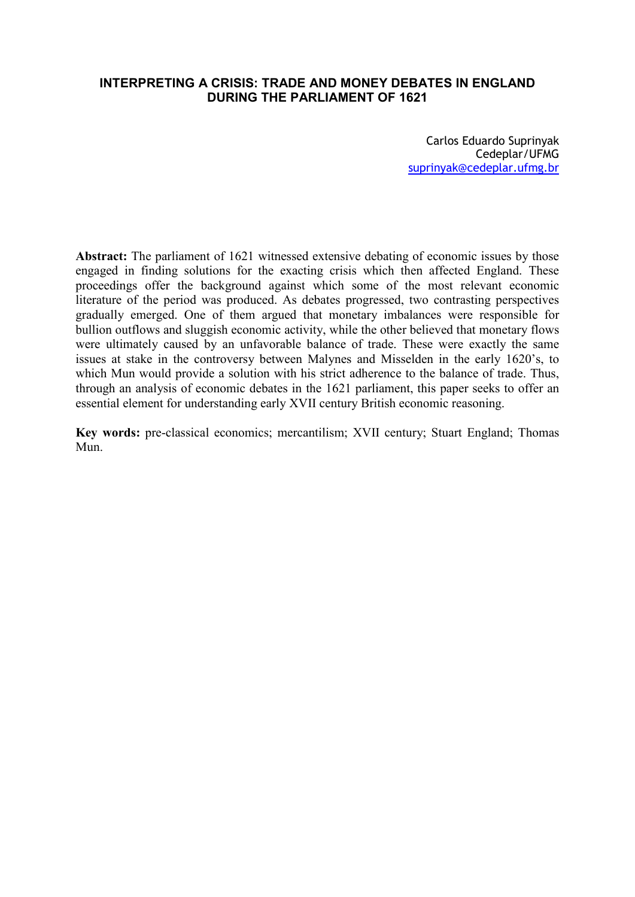# **INTERPRETING A CRISIS: TRADE AND MONEY DEBATES IN ENGLAND DURING THE PARLIAMENT OF 1621**

Carlos Eduardo Suprinyak Cedeplar/UFMG suprinyak@cedeplar.ufmg.br

**Abstract:** The parliament of 1621 witnessed extensive debating of economic issues by those engaged in finding solutions for the exacting crisis which then affected England. These proceedings offer the background against which some of the most relevant economic literature of the period was produced. As debates progressed, two contrasting perspectives gradually emerged. One of them argued that monetary imbalances were responsible for bullion outflows and sluggish economic activity, while the other believed that monetary flows were ultimately caused by an unfavorable balance of trade. These were exactly the same issues at stake in the controversy between Malynes and Misselden in the early 1620's, to which Mun would provide a solution with his strict adherence to the balance of trade. Thus, through an analysis of economic debates in the 1621 parliament, this paper seeks to offer an essential element for understanding early XVII century British economic reasoning.

**Key words:** pre-classical economics; mercantilism; XVII century; Stuart England; Thomas Mun.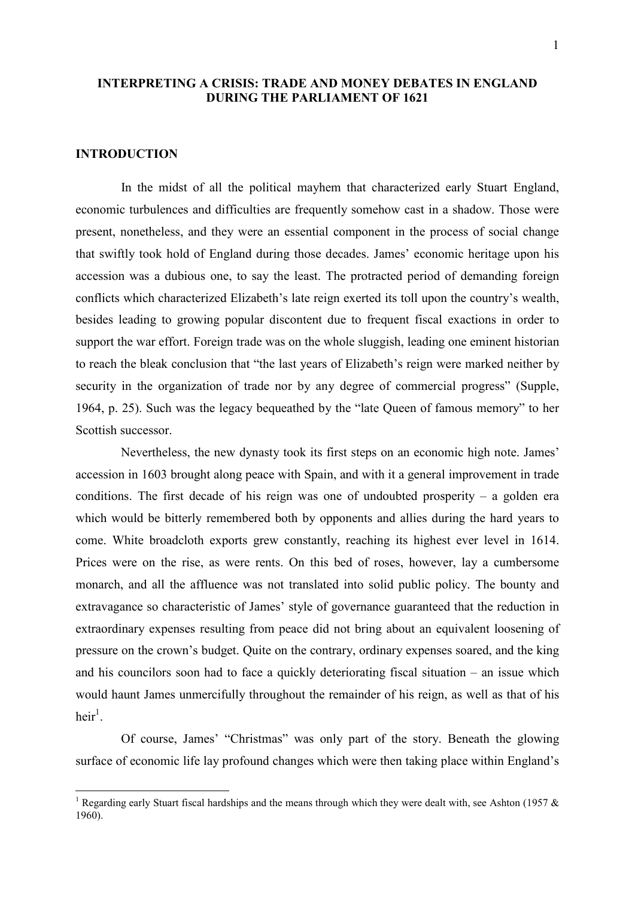# **INTERPRETING A CRISIS: TRADE AND MONEY DEBATES IN ENGLAND DURING THE PARLIAMENT OF 1621**

## **INTRODUCTION**

-

In the midst of all the political mayhem that characterized early Stuart England, economic turbulences and difficulties are frequently somehow cast in a shadow. Those were present, nonetheless, and they were an essential component in the process of social change that swiftly took hold of England during those decades. James' economic heritage upon his accession was a dubious one, to say the least. The protracted period of demanding foreign conflicts which characterized Elizabeth's late reign exerted its toll upon the country's wealth, besides leading to growing popular discontent due to frequent fiscal exactions in order to support the war effort. Foreign trade was on the whole sluggish, leading one eminent historian to reach the bleak conclusion that "the last years of Elizabeth's reign were marked neither by security in the organization of trade nor by any degree of commercial progress" (Supple, 1964, p. 25). Such was the legacy bequeathed by the "late Queen of famous memory" to her Scottish successor.

Nevertheless, the new dynasty took its first steps on an economic high note. James' accession in 1603 brought along peace with Spain, and with it a general improvement in trade conditions. The first decade of his reign was one of undoubted prosperity – a golden era which would be bitterly remembered both by opponents and allies during the hard years to come. White broadcloth exports grew constantly, reaching its highest ever level in 1614. Prices were on the rise, as were rents. On this bed of roses, however, lay a cumbersome monarch, and all the affluence was not translated into solid public policy. The bounty and extravagance so characteristic of James' style of governance guaranteed that the reduction in extraordinary expenses resulting from peace did not bring about an equivalent loosening of pressure on the crown's budget. Quite on the contrary, ordinary expenses soared, and the king and his councilors soon had to face a quickly deteriorating fiscal situation – an issue which would haunt James unmercifully throughout the remainder of his reign, as well as that of his  $heir^1$ .

Of course, James' "Christmas" was only part of the story. Beneath the glowing surface of economic life lay profound changes which were then taking place within England's

<sup>&</sup>lt;sup>1</sup> Regarding early Stuart fiscal hardships and the means through which they were dealt with, see Ashton (1957  $\&$ 1960).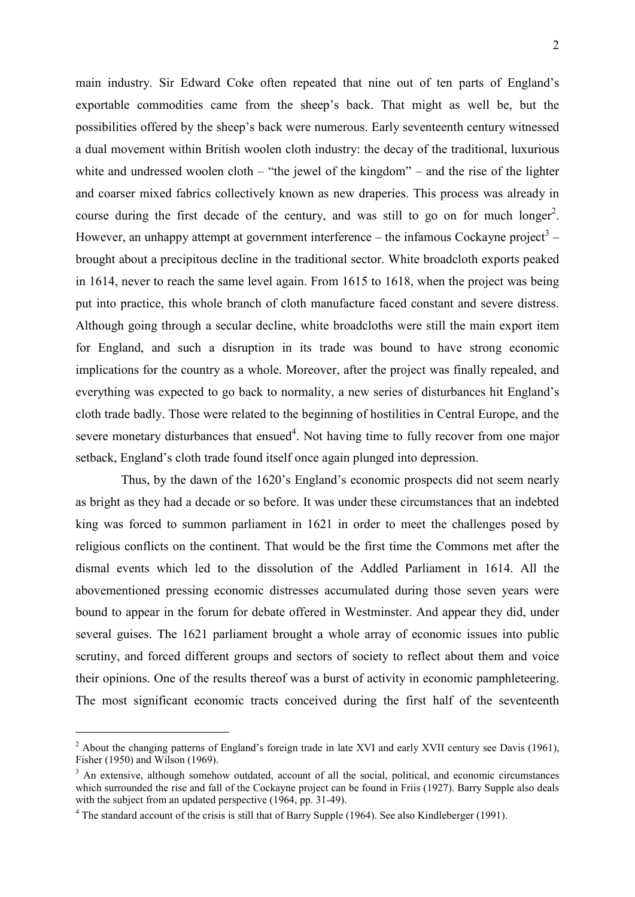main industry. Sir Edward Coke often repeated that nine out of ten parts of England's exportable commodities came from the sheep's back. That might as well be, but the possibilities offered by the sheep's back were numerous. Early seventeenth century witnessed a dual movement within British woolen cloth industry: the decay of the traditional, luxurious white and undressed woolen cloth – "the jewel of the kingdom" – and the rise of the lighter and coarser mixed fabrics collectively known as new draperies. This process was already in course during the first decade of the century, and was still to go on for much longer<sup>2</sup>. However, an unhappy attempt at government interference – the infamous Cockayne project<sup>3</sup> – brought about a precipitous decline in the traditional sector. White broadcloth exports peaked in 1614, never to reach the same level again. From 1615 to 1618, when the project was being put into practice, this whole branch of cloth manufacture faced constant and severe distress. Although going through a secular decline, white broadcloths were still the main export item for England, and such a disruption in its trade was bound to have strong economic implications for the country as a whole. Moreover, after the project was finally repealed, and everything was expected to go back to normality, a new series of disturbances hit England's cloth trade badly. Those were related to the beginning of hostilities in Central Europe, and the severe monetary disturbances that ensued<sup>4</sup>. Not having time to fully recover from one major setback, England's cloth trade found itself once again plunged into depression.

Thus, by the dawn of the 1620's England's economic prospects did not seem nearly as bright as they had a decade or so before. It was under these circumstances that an indebted king was forced to summon parliament in 1621 in order to meet the challenges posed by religious conflicts on the continent. That would be the first time the Commons met after the dismal events which led to the dissolution of the Addled Parliament in 1614. All the abovementioned pressing economic distresses accumulated during those seven years were bound to appear in the forum for debate offered in Westminster. And appear they did, under several guises. The 1621 parliament brought a whole array of economic issues into public scrutiny, and forced different groups and sectors of society to reflect about them and voice their opinions. One of the results thereof was a burst of activity in economic pamphleteering. The most significant economic tracts conceived during the first half of the seventeenth

 $2$  About the changing patterns of England's foreign trade in late XVI and early XVII century see Davis (1961), Fisher (1950) and Wilson (1969).

<sup>&</sup>lt;sup>3</sup> An extensive, although somehow outdated, account of all the social, political, and economic circumstances which surrounded the rise and fall of the Cockayne project can be found in Friis (1927). Barry Supple also deals with the subject from an updated perspective (1964, pp. 31-49).

<sup>&</sup>lt;sup>4</sup> The standard account of the crisis is still that of Barry Supple (1964). See also Kindleberger (1991).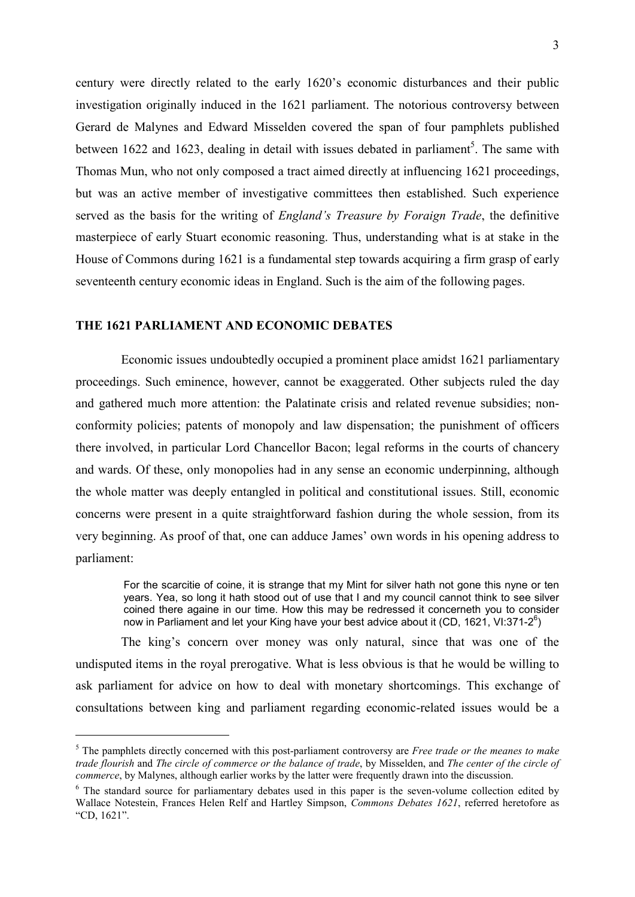century were directly related to the early 1620's economic disturbances and their public investigation originally induced in the 1621 parliament. The notorious controversy between Gerard de Malynes and Edward Misselden covered the span of four pamphlets published between 1622 and 1623, dealing in detail with issues debated in parliament<sup>5</sup>. The same with Thomas Mun, who not only composed a tract aimed directly at influencing 1621 proceedings, but was an active member of investigative committees then established. Such experience served as the basis for the writing of *England's Treasure by Foraign Trade*, the definitive masterpiece of early Stuart economic reasoning. Thus, understanding what is at stake in the House of Commons during 1621 is a fundamental step towards acquiring a firm grasp of early seventeenth century economic ideas in England. Such is the aim of the following pages.

### **THE 1621 PARLIAMENT AND ECONOMIC DEBATES**

-

Economic issues undoubtedly occupied a prominent place amidst 1621 parliamentary proceedings. Such eminence, however, cannot be exaggerated. Other subjects ruled the day and gathered much more attention: the Palatinate crisis and related revenue subsidies; nonconformity policies; patents of monopoly and law dispensation; the punishment of officers there involved, in particular Lord Chancellor Bacon; legal reforms in the courts of chancery and wards. Of these, only monopolies had in any sense an economic underpinning, although the whole matter was deeply entangled in political and constitutional issues. Still, economic concerns were present in a quite straightforward fashion during the whole session, from its very beginning. As proof of that, one can adduce James' own words in his opening address to parliament:

For the scarcitie of coine, it is strange that my Mint for silver hath not gone this nyne or ten years. Yea, so long it hath stood out of use that I and my council cannot think to see silver coined there againe in our time. How this may be redressed it concerneth you to consider now in Parliament and let your King have your best advice about it (CD, 1621, VI:371-2<sup>6</sup>)

The king's concern over money was only natural, since that was one of the undisputed items in the royal prerogative. What is less obvious is that he would be willing to ask parliament for advice on how to deal with monetary shortcomings. This exchange of consultations between king and parliament regarding economic-related issues would be a

<sup>5</sup> The pamphlets directly concerned with this post-parliament controversy are *Free trade or the meanes to make trade flourish* and *The circle of commerce or the balance of trade*, by Misselden, and *The center of the circle of commerce*, by Malynes, although earlier works by the latter were frequently drawn into the discussion.

<sup>&</sup>lt;sup>6</sup> The standard source for parliamentary debates used in this paper is the seven-volume collection edited by Wallace Notestein, Frances Helen Relf and Hartley Simpson, *Commons Debates 1621*, referred heretofore as "CD, 1621".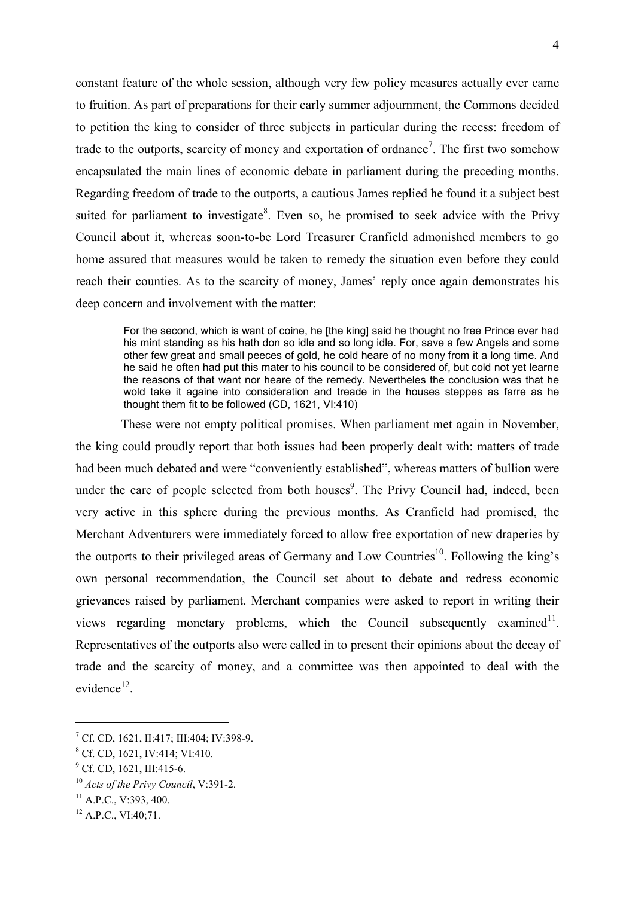constant feature of the whole session, although very few policy measures actually ever came to fruition. As part of preparations for their early summer adjournment, the Commons decided to petition the king to consider of three subjects in particular during the recess: freedom of trade to the outports, scarcity of money and exportation of ordnance<sup>7</sup>. The first two somehow encapsulated the main lines of economic debate in parliament during the preceding months. Regarding freedom of trade to the outports, a cautious James replied he found it a subject best suited for parliament to investigate<sup>8</sup>. Even so, he promised to seek advice with the Privy Council about it, whereas soon-to-be Lord Treasurer Cranfield admonished members to go home assured that measures would be taken to remedy the situation even before they could reach their counties. As to the scarcity of money, James' reply once again demonstrates his deep concern and involvement with the matter:

For the second, which is want of coine, he [the king] said he thought no free Prince ever had his mint standing as his hath don so idle and so long idle. For, save a few Angels and some other few great and small peeces of gold, he cold heare of no mony from it a long time. And he said he often had put this mater to his council to be considered of, but cold not yet learne the reasons of that want nor heare of the remedy. Nevertheles the conclusion was that he wold take it againe into consideration and treade in the houses steppes as farre as he thought them fit to be followed (CD, 1621, VI:410)

These were not empty political promises. When parliament met again in November, the king could proudly report that both issues had been properly dealt with: matters of trade had been much debated and were "conveniently established", whereas matters of bullion were under the care of people selected from both houses<sup>9</sup>. The Privy Council had, indeed, been very active in this sphere during the previous months. As Cranfield had promised, the Merchant Adventurers were immediately forced to allow free exportation of new draperies by the outports to their privileged areas of Germany and Low Countries<sup>10</sup>. Following the king's own personal recommendation, the Council set about to debate and redress economic grievances raised by parliament. Merchant companies were asked to report in writing their views regarding monetary problems, which the Council subsequently examined $11$ . Representatives of the outports also were called in to present their opinions about the decay of trade and the scarcity of money, and a committee was then appointed to deal with the evidence<sup>12</sup>.

<sup>7</sup> Cf. CD, 1621, II:417; III:404; IV:398-9.

<sup>8</sup> Cf. CD, 1621, IV:414; VI:410.

<sup>&</sup>lt;sup>9</sup> Cf. CD, 1621, III:415-6.

<sup>10</sup> *Acts of the Privy Council*, V:391-2.

 $^{11}$  A.P.C., V:393, 400.

 $12$  A.P.C., VI:40;71.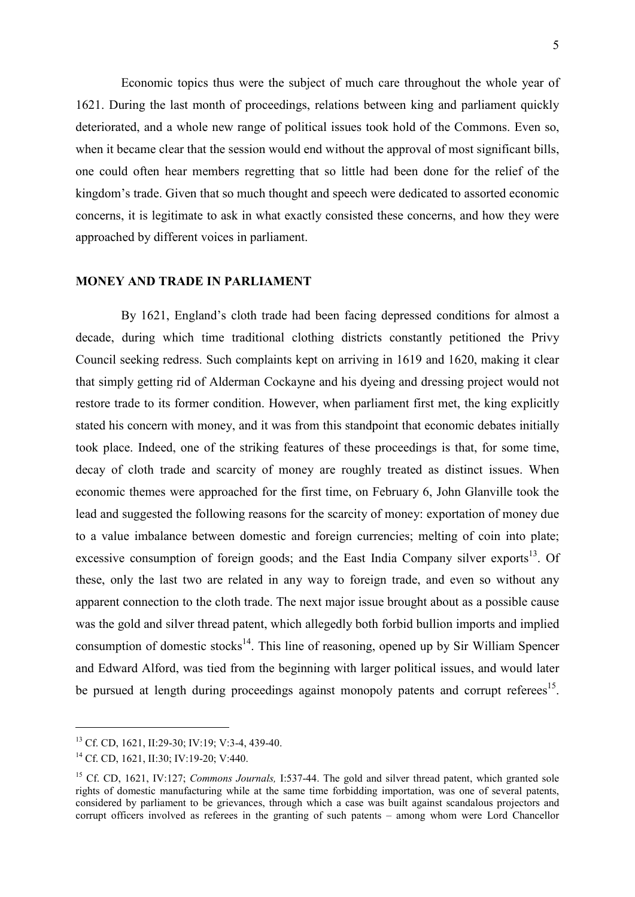Economic topics thus were the subject of much care throughout the whole year of 1621. During the last month of proceedings, relations between king and parliament quickly deteriorated, and a whole new range of political issues took hold of the Commons. Even so, when it became clear that the session would end without the approval of most significant bills, one could often hear members regretting that so little had been done for the relief of the kingdom's trade. Given that so much thought and speech were dedicated to assorted economic concerns, it is legitimate to ask in what exactly consisted these concerns, and how they were approached by different voices in parliament.

### **MONEY AND TRADE IN PARLIAMENT**

By 1621, England's cloth trade had been facing depressed conditions for almost a decade, during which time traditional clothing districts constantly petitioned the Privy Council seeking redress. Such complaints kept on arriving in 1619 and 1620, making it clear that simply getting rid of Alderman Cockayne and his dyeing and dressing project would not restore trade to its former condition. However, when parliament first met, the king explicitly stated his concern with money, and it was from this standpoint that economic debates initially took place. Indeed, one of the striking features of these proceedings is that, for some time, decay of cloth trade and scarcity of money are roughly treated as distinct issues. When economic themes were approached for the first time, on February 6, John Glanville took the lead and suggested the following reasons for the scarcity of money: exportation of money due to a value imbalance between domestic and foreign currencies; melting of coin into plate; excessive consumption of foreign goods; and the East India Company silver exports<sup>13</sup>. Of these, only the last two are related in any way to foreign trade, and even so without any apparent connection to the cloth trade. The next major issue brought about as a possible cause was the gold and silver thread patent, which allegedly both forbid bullion imports and implied consumption of domestic stocks<sup>14</sup>. This line of reasoning, opened up by Sir William Spencer and Edward Alford, was tied from the beginning with larger political issues, and would later be pursued at length during proceedings against monopoly patents and corrupt referees<sup>15</sup>.

<sup>13</sup> Cf. CD, 1621, II:29-30; IV:19; V:3-4, 439-40.

<sup>14</sup> Cf. CD, 1621, II:30; IV:19-20; V:440.

<sup>&</sup>lt;sup>15</sup> Cf. CD, 1621, IV:127; *Commons Journals*, I:537-44. The gold and silver thread patent, which granted sole rights of domestic manufacturing while at the same time forbidding importation, was one of several patents, considered by parliament to be grievances, through which a case was built against scandalous projectors and corrupt officers involved as referees in the granting of such patents – among whom were Lord Chancellor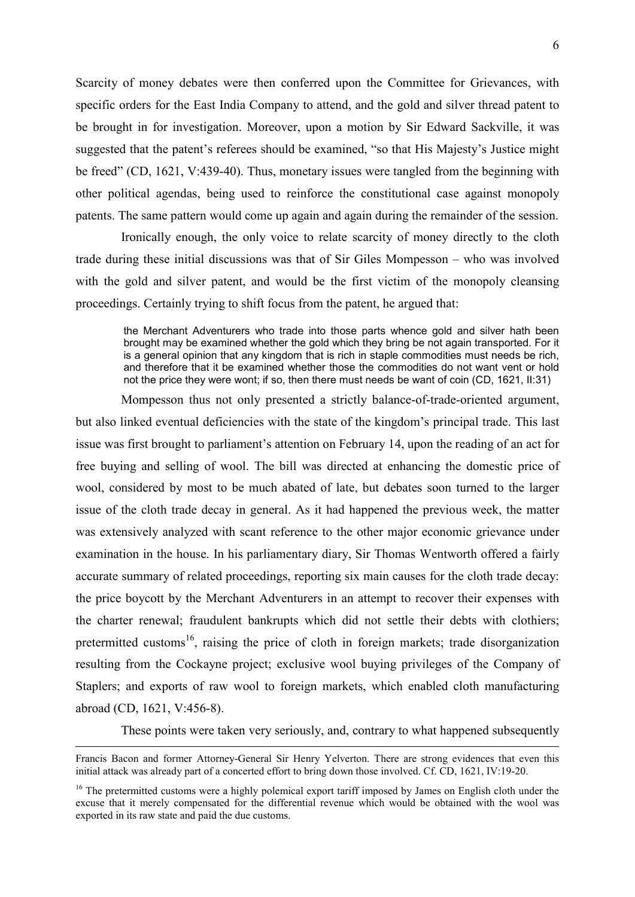Scarcity of money debates were then conferred upon the Committee for Grievances, with specific orders for the East India Company to attend, and the gold and silver thread patent to be brought in for investigation. Moreover, upon a motion by Sir Edward Sackville, it was suggested that the patent's referees should be examined, "so that His Majesty's Justice might be freed" (CD, 1621, V:439-40). Thus, monetary issues were tangled from the beginning with other political agendas, being used to reinforce the constitutional case against monopoly patents. The same pattern would come up again and again during the remainder of the session.

Ironically enough, the only voice to relate scarcity of money directly to the cloth trade during these initial discussions was that of Sir Giles Mompesson – who was involved with the gold and silver patent, and would be the first victim of the monopoly cleansing proceedings. Certainly trying to shift focus from the patent, he argued that:

the Merchant Adventurers who trade into those parts whence gold and silver hath been brought may be examined whether the gold which they bring be not again transported. For it is a general opinion that any kingdom that is rich in staple commodities must needs be rich, and therefore that it be examined whether those the commodities do not want vent or hold not the price they were wont; if so, then there must needs be want of coin (CD, 1621, II:31)

Mompesson thus not only presented a strictly balance-of-trade-oriented argument, but also linked eventual deficiencies with the state of the kingdom's principal trade. This last issue was first brought to parliament's attention on February 14, upon the reading of an act for free buying and selling of wool. The bill was directed at enhancing the domestic price of wool, considered by most to be much abated of late, but debates soon turned to the larger issue of the cloth trade decay in general. As it had happened the previous week, the matter was extensively analyzed with scant reference to the other major economic grievance under examination in the house. In his parliamentary diary, Sir Thomas Wentworth offered a fairly accurate summary of related proceedings, reporting six main causes for the cloth trade decay: the price boycott by the Merchant Adventurers in an attempt to recover their expenses with the charter renewal; fraudulent bankrupts which did not settle their debts with clothiers; pretermitted customs<sup>16</sup>, raising the price of cloth in foreign markets; trade disorganization resulting from the Cockayne project; exclusive wool buying privileges of the Company of Staplers; and exports of raw wool to foreign markets, which enabled cloth manufacturing abroad (CD, 1621, V:456-8).

These points were taken very seriously, and, contrary to what happened subsequently

Francis Bacon and former Attorney-General Sir Henry Yelverton. There are strong evidences that even this initial attack was already part of a concerted effort to bring down those involved. Cf. CD, 1621, IV:19-20.

<sup>&</sup>lt;sup>16</sup> The pretermitted customs were a highly polemical export tariff imposed by James on English cloth under the excuse that it merely compensated for the differential revenue which would be obtained with the wool was exported in its raw state and paid the due customs.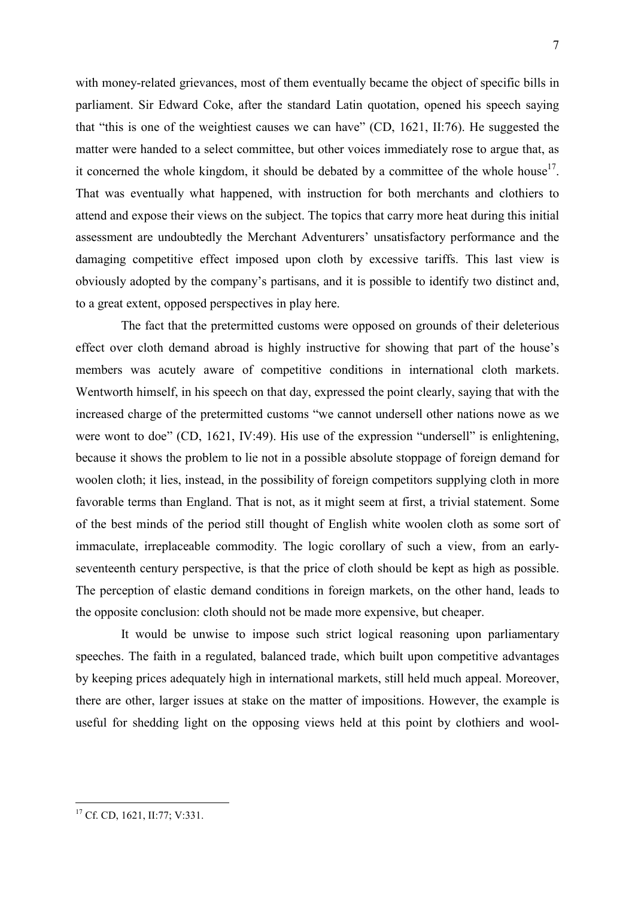with money-related grievances, most of them eventually became the object of specific bills in parliament. Sir Edward Coke, after the standard Latin quotation, opened his speech saying that "this is one of the weightiest causes we can have" (CD, 1621, II:76). He suggested the matter were handed to a select committee, but other voices immediately rose to argue that, as it concerned the whole kingdom, it should be debated by a committee of the whole house<sup>17</sup>. That was eventually what happened, with instruction for both merchants and clothiers to attend and expose their views on the subject. The topics that carry more heat during this initial assessment are undoubtedly the Merchant Adventurers' unsatisfactory performance and the damaging competitive effect imposed upon cloth by excessive tariffs. This last view is obviously adopted by the company's partisans, and it is possible to identify two distinct and, to a great extent, opposed perspectives in play here.

The fact that the pretermitted customs were opposed on grounds of their deleterious effect over cloth demand abroad is highly instructive for showing that part of the house's members was acutely aware of competitive conditions in international cloth markets. Wentworth himself, in his speech on that day, expressed the point clearly, saying that with the increased charge of the pretermitted customs "we cannot undersell other nations nowe as we were wont to doe" (CD, 1621, IV:49). His use of the expression "undersell" is enlightening, because it shows the problem to lie not in a possible absolute stoppage of foreign demand for woolen cloth; it lies, instead, in the possibility of foreign competitors supplying cloth in more favorable terms than England. That is not, as it might seem at first, a trivial statement. Some of the best minds of the period still thought of English white woolen cloth as some sort of immaculate, irreplaceable commodity. The logic corollary of such a view, from an earlyseventeenth century perspective, is that the price of cloth should be kept as high as possible. The perception of elastic demand conditions in foreign markets, on the other hand, leads to the opposite conclusion: cloth should not be made more expensive, but cheaper.

It would be unwise to impose such strict logical reasoning upon parliamentary speeches. The faith in a regulated, balanced trade, which built upon competitive advantages by keeping prices adequately high in international markets, still held much appeal. Moreover, there are other, larger issues at stake on the matter of impositions. However, the example is useful for shedding light on the opposing views held at this point by clothiers and wool-

<sup>&</sup>lt;sup>17</sup> Cf. CD, 1621, II:77; V:331.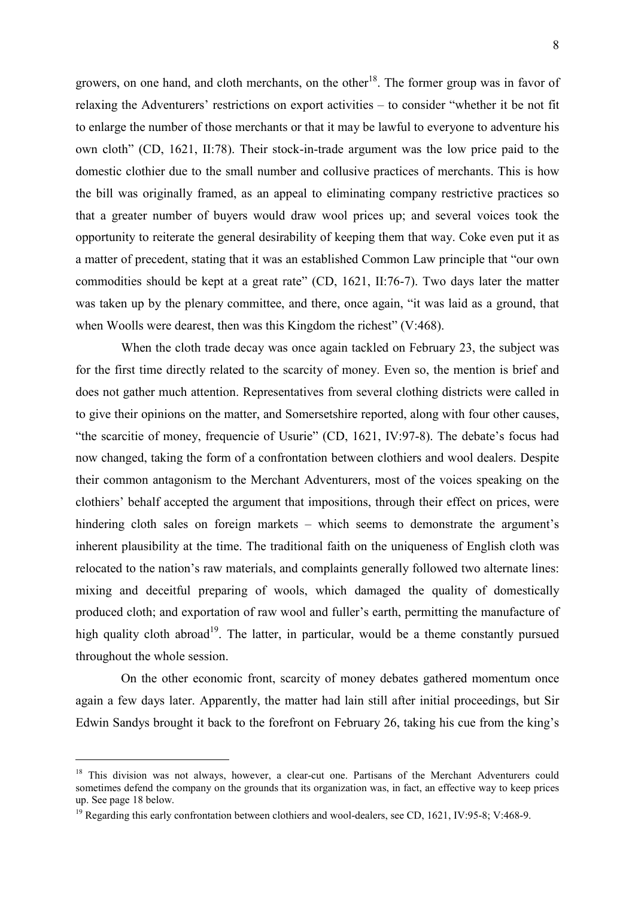growers, on one hand, and cloth merchants, on the other<sup>18</sup>. The former group was in favor of relaxing the Adventurers' restrictions on export activities – to consider "whether it be not fit to enlarge the number of those merchants or that it may be lawful to everyone to adventure his own cloth" (CD, 1621, II:78). Their stock-in-trade argument was the low price paid to the domestic clothier due to the small number and collusive practices of merchants. This is how the bill was originally framed, as an appeal to eliminating company restrictive practices so that a greater number of buyers would draw wool prices up; and several voices took the opportunity to reiterate the general desirability of keeping them that way. Coke even put it as a matter of precedent, stating that it was an established Common Law principle that "our own commodities should be kept at a great rate" (CD, 1621, II:76-7). Two days later the matter was taken up by the plenary committee, and there, once again, "it was laid as a ground, that when Woolls were dearest, then was this Kingdom the richest" (V:468).

When the cloth trade decay was once again tackled on February 23, the subject was for the first time directly related to the scarcity of money. Even so, the mention is brief and does not gather much attention. Representatives from several clothing districts were called in to give their opinions on the matter, and Somersetshire reported, along with four other causes, "the scarcitie of money, frequencie of Usurie" (CD, 1621, IV:97-8). The debate's focus had now changed, taking the form of a confrontation between clothiers and wool dealers. Despite their common antagonism to the Merchant Adventurers, most of the voices speaking on the clothiers' behalf accepted the argument that impositions, through their effect on prices, were hindering cloth sales on foreign markets – which seems to demonstrate the argument's inherent plausibility at the time. The traditional faith on the uniqueness of English cloth was relocated to the nation's raw materials, and complaints generally followed two alternate lines: mixing and deceitful preparing of wools, which damaged the quality of domestically produced cloth; and exportation of raw wool and fuller's earth, permitting the manufacture of high quality cloth abroad<sup>19</sup>. The latter, in particular, would be a theme constantly pursued throughout the whole session.

On the other economic front, scarcity of money debates gathered momentum once again a few days later. Apparently, the matter had lain still after initial proceedings, but Sir Edwin Sandys brought it back to the forefront on February 26, taking his cue from the king's

1

<sup>&</sup>lt;sup>18</sup> This division was not always, however, a clear-cut one. Partisans of the Merchant Adventurers could sometimes defend the company on the grounds that its organization was, in fact, an effective way to keep prices up. See page 18 below.

<sup>&</sup>lt;sup>19</sup> Regarding this early confrontation between clothiers and wool-dealers, see CD, 1621, IV:95-8; V:468-9.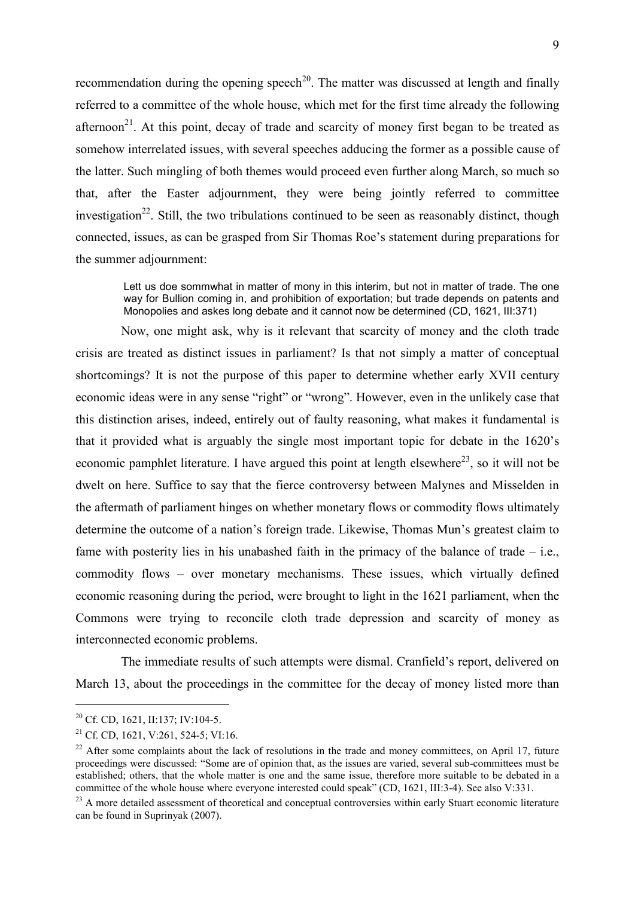recommendation during the opening speech<sup>20</sup>. The matter was discussed at length and finally referred to a committee of the whole house, which met for the first time already the following afternoon<sup>21</sup>. At this point, decay of trade and scarcity of money first began to be treated as somehow interrelated issues, with several speeches adducing the former as a possible cause of the latter. Such mingling of both themes would proceed even further along March, so much so that, after the Easter adjournment, they were being jointly referred to committee investigation<sup>22</sup>. Still, the two tribulations continued to be seen as reasonably distinct, though connected, issues, as can be grasped from Sir Thomas Roe's statement during preparations for the summer adjournment:

Lett us doe sommwhat in matter of mony in this interim, but not in matter of trade. The one way for Bullion coming in, and prohibition of exportation; but trade depends on patents and Monopolies and askes long debate and it cannot now be determined (CD, 1621, III:371)

Now, one might ask, why is it relevant that scarcity of money and the cloth trade crisis are treated as distinct issues in parliament? Is that not simply a matter of conceptual shortcomings? It is not the purpose of this paper to determine whether early XVII century economic ideas were in any sense "right" or "wrong". However, even in the unlikely case that this distinction arises, indeed, entirely out of faulty reasoning, what makes it fundamental is that it provided what is arguably the single most important topic for debate in the 1620's economic pamphlet literature. I have argued this point at length elsewhere<sup>23</sup>, so it will not be dwelt on here. Suffice to say that the fierce controversy between Malynes and Misselden in the aftermath of parliament hinges on whether monetary flows or commodity flows ultimately determine the outcome of a nation's foreign trade. Likewise, Thomas Mun's greatest claim to fame with posterity lies in his unabashed faith in the primacy of the balance of trade  $-$  i.e., commodity flows – over monetary mechanisms. These issues, which virtually defined economic reasoning during the period, were brought to light in the 1621 parliament, when the Commons were trying to reconcile cloth trade depression and scarcity of money as interconnected economic problems.

The immediate results of such attempts were dismal. Cranfield's report, delivered on March 13, about the proceedings in the committee for the decay of money listed more than

<sup>&</sup>lt;sup>20</sup> Cf. CD, 1621, II:137; IV:104-5.

<sup>&</sup>lt;sup>21</sup> Cf. CD, 1621, V:261, 524-5; VI:16.

 $22$  After some complaints about the lack of resolutions in the trade and money committees, on April 17, future proceedings were discussed: "Some are of opinion that, as the issues are varied, several sub-committees must be established; others, that the whole matter is one and the same issue, therefore more suitable to be debated in a committee of the whole house where everyone interested could speak" (CD, 1621, III:3-4). See also V:331.

<sup>&</sup>lt;sup>23</sup> A more detailed assessment of theoretical and conceptual controversies within early Stuart economic literature can be found in Suprinyak (2007).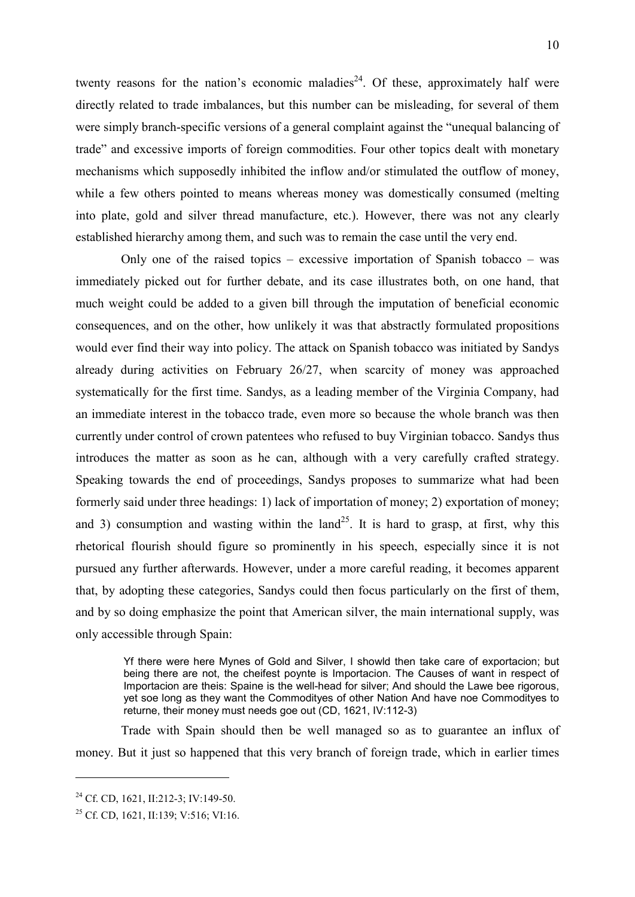twenty reasons for the nation's economic maladies<sup>24</sup>. Of these, approximately half were directly related to trade imbalances, but this number can be misleading, for several of them were simply branch-specific versions of a general complaint against the "unequal balancing of trade" and excessive imports of foreign commodities. Four other topics dealt with monetary mechanisms which supposedly inhibited the inflow and/or stimulated the outflow of money, while a few others pointed to means whereas money was domestically consumed (melting into plate, gold and silver thread manufacture, etc.). However, there was not any clearly established hierarchy among them, and such was to remain the case until the very end.

Only one of the raised topics – excessive importation of Spanish tobacco – was immediately picked out for further debate, and its case illustrates both, on one hand, that much weight could be added to a given bill through the imputation of beneficial economic consequences, and on the other, how unlikely it was that abstractly formulated propositions would ever find their way into policy. The attack on Spanish tobacco was initiated by Sandys already during activities on February 26/27, when scarcity of money was approached systematically for the first time. Sandys, as a leading member of the Virginia Company, had an immediate interest in the tobacco trade, even more so because the whole branch was then currently under control of crown patentees who refused to buy Virginian tobacco. Sandys thus introduces the matter as soon as he can, although with a very carefully crafted strategy. Speaking towards the end of proceedings, Sandys proposes to summarize what had been formerly said under three headings: 1) lack of importation of money; 2) exportation of money; and 3) consumption and wasting within the land<sup>25</sup>. It is hard to grasp, at first, why this rhetorical flourish should figure so prominently in his speech, especially since it is not pursued any further afterwards. However, under a more careful reading, it becomes apparent that, by adopting these categories, Sandys could then focus particularly on the first of them, and by so doing emphasize the point that American silver, the main international supply, was only accessible through Spain:

Yf there were here Mynes of Gold and Silver, I showld then take care of exportacion; but being there are not, the cheifest poynte is Importacion. The Causes of want in respect of Importacion are theis: Spaine is the well-head for silver; And should the Lawe bee rigorous, yet soe long as they want the Commodityes of other Nation And have noe Commodityes to returne, their money must needs goe out (CD, 1621, IV:112-3)

Trade with Spain should then be well managed so as to guarantee an influx of money. But it just so happened that this very branch of foreign trade, which in earlier times

<sup>&</sup>lt;sup>24</sup> Cf. CD, 1621, II:212-3; IV:149-50.

<sup>25</sup> Cf. CD, 1621, II:139; V:516; VI:16.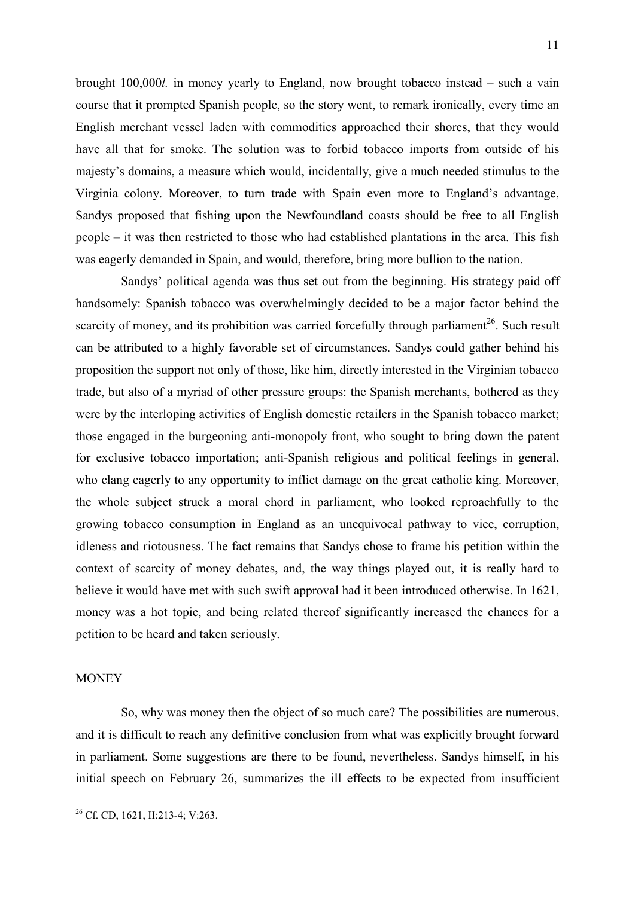brought 100,000*l.* in money yearly to England, now brought tobacco instead – such a vain course that it prompted Spanish people, so the story went, to remark ironically, every time an English merchant vessel laden with commodities approached their shores, that they would have all that for smoke. The solution was to forbid tobacco imports from outside of his majesty's domains, a measure which would, incidentally, give a much needed stimulus to the Virginia colony. Moreover, to turn trade with Spain even more to England's advantage, Sandys proposed that fishing upon the Newfoundland coasts should be free to all English people – it was then restricted to those who had established plantations in the area. This fish was eagerly demanded in Spain, and would, therefore, bring more bullion to the nation.

Sandys' political agenda was thus set out from the beginning. His strategy paid off handsomely: Spanish tobacco was overwhelmingly decided to be a major factor behind the scarcity of money, and its prohibition was carried forcefully through parliament<sup>26</sup>. Such result can be attributed to a highly favorable set of circumstances. Sandys could gather behind his proposition the support not only of those, like him, directly interested in the Virginian tobacco trade, but also of a myriad of other pressure groups: the Spanish merchants, bothered as they were by the interloping activities of English domestic retailers in the Spanish tobacco market; those engaged in the burgeoning anti-monopoly front, who sought to bring down the patent for exclusive tobacco importation; anti-Spanish religious and political feelings in general, who clang eagerly to any opportunity to inflict damage on the great catholic king. Moreover, the whole subject struck a moral chord in parliament, who looked reproachfully to the growing tobacco consumption in England as an unequivocal pathway to vice, corruption, idleness and riotousness. The fact remains that Sandys chose to frame his petition within the context of scarcity of money debates, and, the way things played out, it is really hard to believe it would have met with such swift approval had it been introduced otherwise. In 1621, money was a hot topic, and being related thereof significantly increased the chances for a petition to be heard and taken seriously.

#### **MONEY**

<u>.</u>

So, why was money then the object of so much care? The possibilities are numerous, and it is difficult to reach any definitive conclusion from what was explicitly brought forward in parliament. Some suggestions are there to be found, nevertheless. Sandys himself, in his initial speech on February 26, summarizes the ill effects to be expected from insufficient

<sup>&</sup>lt;sup>26</sup> Cf. CD, 1621, II:213-4; V:263.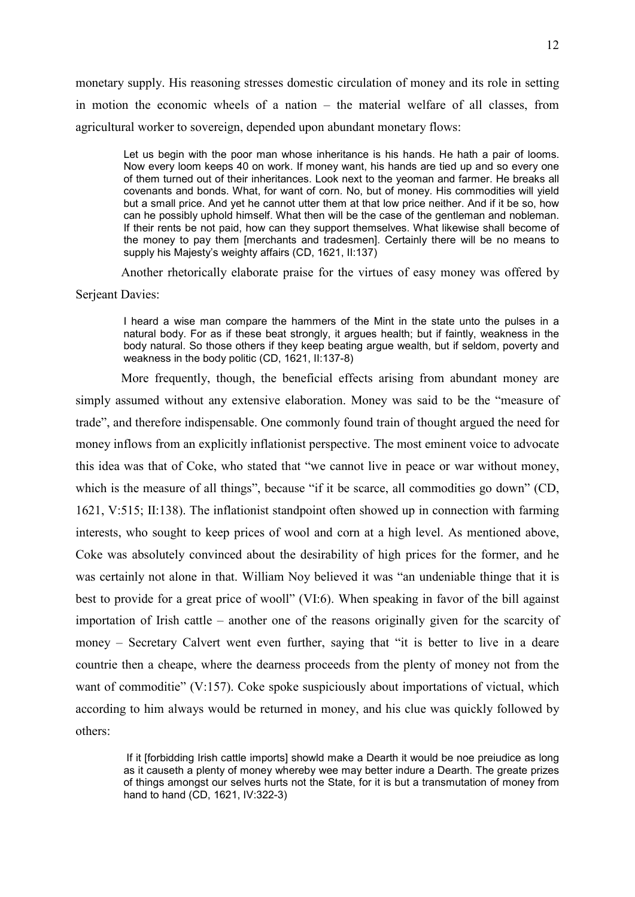monetary supply. His reasoning stresses domestic circulation of money and its role in setting in motion the economic wheels of a nation – the material welfare of all classes, from agricultural worker to sovereign, depended upon abundant monetary flows:

Let us begin with the poor man whose inheritance is his hands. He hath a pair of looms. Now every loom keeps 40 on work. If money want, his hands are tied up and so every one of them turned out of their inheritances. Look next to the yeoman and farmer. He breaks all covenants and bonds. What, for want of corn. No, but of money. His commodities will yield but a small price. And yet he cannot utter them at that low price neither. And if it be so, how can he possibly uphold himself. What then will be the case of the gentleman and nobleman. If their rents be not paid, how can they support themselves. What likewise shall become of the money to pay them [merchants and tradesmen]. Certainly there will be no means to supply his Majesty's weighty affairs (CD, 1621, II:137)

Another rhetorically elaborate praise for the virtues of easy money was offered by Serjeant Davies:

I heard a wise man compare the hammers of the Mint in the state unto the pulses in a natural body. For as if these beat strongly, it argues health; but if faintly, weakness in the body natural. So those others if they keep beating argue wealth, but if seldom, poverty and weakness in the body politic (CD, 1621, II:137-8)

More frequently, though, the beneficial effects arising from abundant money are simply assumed without any extensive elaboration. Money was said to be the "measure of trade", and therefore indispensable. One commonly found train of thought argued the need for money inflows from an explicitly inflationist perspective. The most eminent voice to advocate this idea was that of Coke, who stated that "we cannot live in peace or war without money, which is the measure of all things", because "if it be scarce, all commodities go down" (CD, 1621, V:515; II:138). The inflationist standpoint often showed up in connection with farming interests, who sought to keep prices of wool and corn at a high level. As mentioned above, Coke was absolutely convinced about the desirability of high prices for the former, and he was certainly not alone in that. William Noy believed it was "an undeniable thinge that it is best to provide for a great price of wooll" (VI:6). When speaking in favor of the bill against importation of Irish cattle – another one of the reasons originally given for the scarcity of money – Secretary Calvert went even further, saying that "it is better to live in a deare countrie then a cheape, where the dearness proceeds from the plenty of money not from the want of commoditie" (V:157). Coke spoke suspiciously about importations of victual, which according to him always would be returned in money, and his clue was quickly followed by others:

 If it [forbidding Irish cattle imports] showld make a Dearth it would be noe preiudice as long as it causeth a plenty of money whereby wee may better indure a Dearth. The greate prizes of things amongst our selves hurts not the State, for it is but a transmutation of money from hand to hand (CD, 1621, IV:322-3)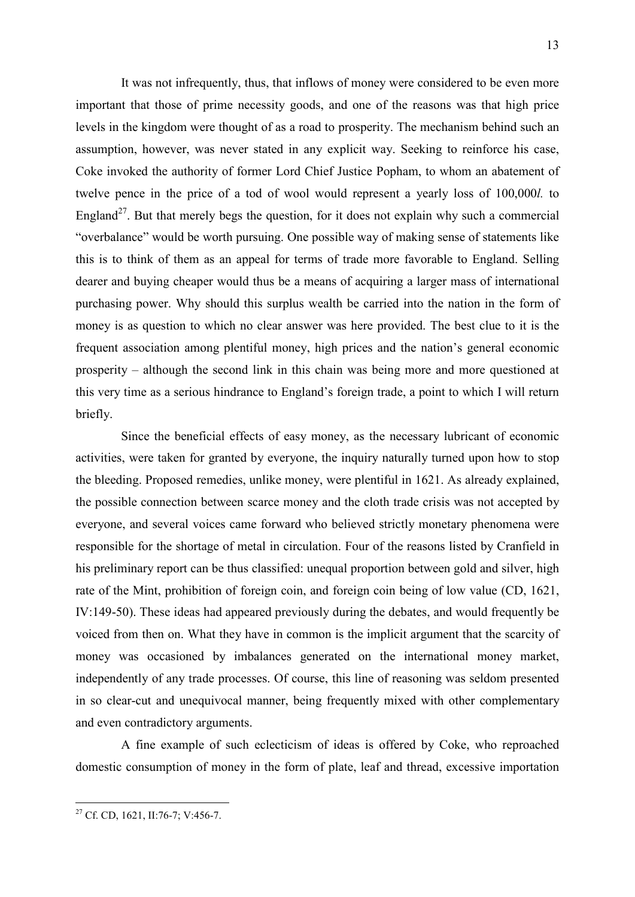It was not infrequently, thus, that inflows of money were considered to be even more important that those of prime necessity goods, and one of the reasons was that high price levels in the kingdom were thought of as a road to prosperity. The mechanism behind such an assumption, however, was never stated in any explicit way. Seeking to reinforce his case, Coke invoked the authority of former Lord Chief Justice Popham, to whom an abatement of twelve pence in the price of a tod of wool would represent a yearly loss of 100,000*l.* to England<sup>27</sup>. But that merely begs the question, for it does not explain why such a commercial "overbalance" would be worth pursuing. One possible way of making sense of statements like this is to think of them as an appeal for terms of trade more favorable to England. Selling dearer and buying cheaper would thus be a means of acquiring a larger mass of international purchasing power. Why should this surplus wealth be carried into the nation in the form of money is as question to which no clear answer was here provided. The best clue to it is the frequent association among plentiful money, high prices and the nation's general economic prosperity – although the second link in this chain was being more and more questioned at this very time as a serious hindrance to England's foreign trade, a point to which I will return briefly.

Since the beneficial effects of easy money, as the necessary lubricant of economic activities, were taken for granted by everyone, the inquiry naturally turned upon how to stop the bleeding. Proposed remedies, unlike money, were plentiful in 1621. As already explained, the possible connection between scarce money and the cloth trade crisis was not accepted by everyone, and several voices came forward who believed strictly monetary phenomena were responsible for the shortage of metal in circulation. Four of the reasons listed by Cranfield in his preliminary report can be thus classified: unequal proportion between gold and silver, high rate of the Mint, prohibition of foreign coin, and foreign coin being of low value (CD, 1621, IV:149-50). These ideas had appeared previously during the debates, and would frequently be voiced from then on. What they have in common is the implicit argument that the scarcity of money was occasioned by imbalances generated on the international money market, independently of any trade processes. Of course, this line of reasoning was seldom presented in so clear-cut and unequivocal manner, being frequently mixed with other complementary and even contradictory arguments.

A fine example of such eclecticism of ideas is offered by Coke, who reproached domestic consumption of money in the form of plate, leaf and thread, excessive importation

<sup>&</sup>lt;sup>27</sup> Cf. CD, 1621, II:76-7; V:456-7.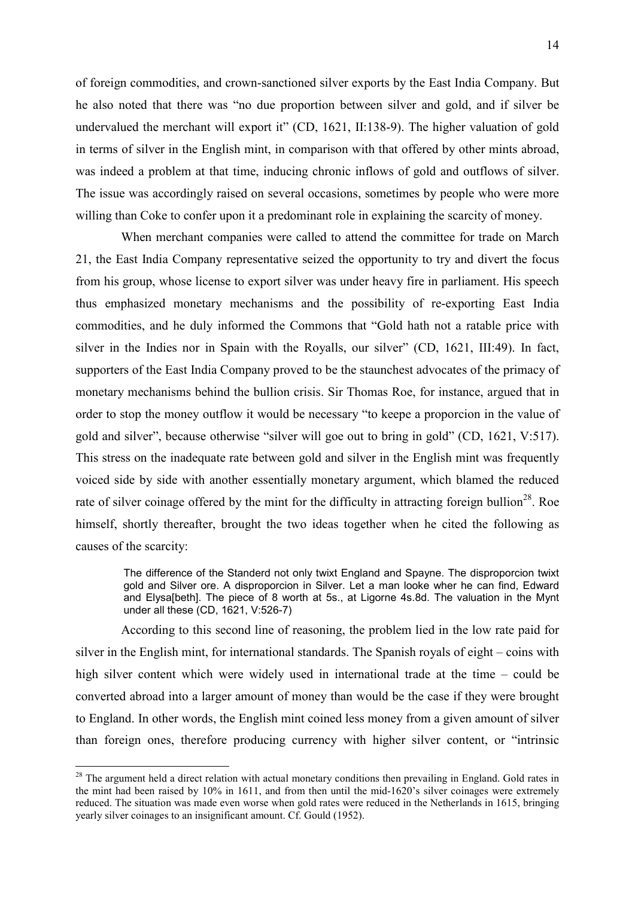of foreign commodities, and crown-sanctioned silver exports by the East India Company. But he also noted that there was "no due proportion between silver and gold, and if silver be undervalued the merchant will export it" (CD, 1621, II:138-9). The higher valuation of gold in terms of silver in the English mint, in comparison with that offered by other mints abroad, was indeed a problem at that time, inducing chronic inflows of gold and outflows of silver. The issue was accordingly raised on several occasions, sometimes by people who were more willing than Coke to confer upon it a predominant role in explaining the scarcity of money.

When merchant companies were called to attend the committee for trade on March 21, the East India Company representative seized the opportunity to try and divert the focus from his group, whose license to export silver was under heavy fire in parliament. His speech thus emphasized monetary mechanisms and the possibility of re-exporting East India commodities, and he duly informed the Commons that "Gold hath not a ratable price with silver in the Indies nor in Spain with the Royalls, our silver" (CD, 1621, III:49). In fact, supporters of the East India Company proved to be the staunchest advocates of the primacy of monetary mechanisms behind the bullion crisis. Sir Thomas Roe, for instance, argued that in order to stop the money outflow it would be necessary "to keepe a proporcion in the value of gold and silver", because otherwise "silver will goe out to bring in gold" (CD, 1621, V:517). This stress on the inadequate rate between gold and silver in the English mint was frequently voiced side by side with another essentially monetary argument, which blamed the reduced rate of silver coinage offered by the mint for the difficulty in attracting foreign bullion<sup>28</sup>. Roe himself, shortly thereafter, brought the two ideas together when he cited the following as causes of the scarcity:

The difference of the Standerd not only twixt England and Spayne. The disproporcion twixt gold and Silver ore. A disproporcion in Silver. Let a man looke wher he can find, Edward and Elysa[beth]. The piece of 8 worth at 5s., at Ligorne 4s.8d. The valuation in the Mynt under all these (CD, 1621, V:526-7)

According to this second line of reasoning, the problem lied in the low rate paid for silver in the English mint, for international standards. The Spanish royals of eight – coins with high silver content which were widely used in international trade at the time – could be converted abroad into a larger amount of money than would be the case if they were brought to England. In other words, the English mint coined less money from a given amount of silver than foreign ones, therefore producing currency with higher silver content, or "intrinsic

1

 $2<sup>28</sup>$  The argument held a direct relation with actual monetary conditions then prevailing in England. Gold rates in the mint had been raised by 10% in 1611, and from then until the mid-1620's silver coinages were extremely reduced. The situation was made even worse when gold rates were reduced in the Netherlands in 1615, bringing yearly silver coinages to an insignificant amount. Cf. Gould (1952).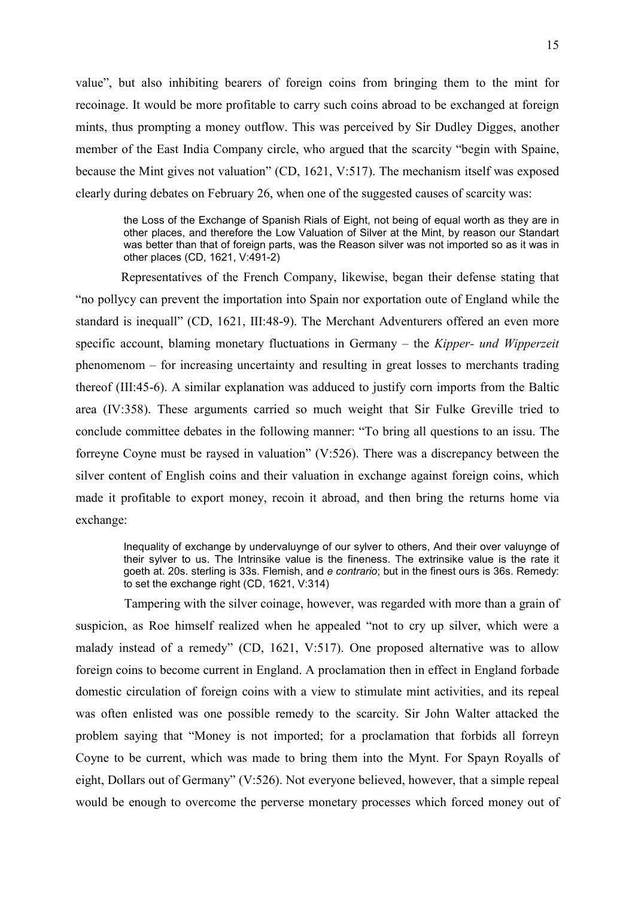value", but also inhibiting bearers of foreign coins from bringing them to the mint for recoinage. It would be more profitable to carry such coins abroad to be exchanged at foreign mints, thus prompting a money outflow. This was perceived by Sir Dudley Digges, another member of the East India Company circle, who argued that the scarcity "begin with Spaine, because the Mint gives not valuation" (CD, 1621, V:517). The mechanism itself was exposed clearly during debates on February 26, when one of the suggested causes of scarcity was:

the Loss of the Exchange of Spanish Rials of Eight, not being of equal worth as they are in other places, and therefore the Low Valuation of Silver at the Mint, by reason our Standart was better than that of foreign parts, was the Reason silver was not imported so as it was in other places (CD, 1621, V:491-2)

Representatives of the French Company, likewise, began their defense stating that "no pollycy can prevent the importation into Spain nor exportation oute of England while the standard is inequall" (CD, 1621, III:48-9). The Merchant Adventurers offered an even more specific account, blaming monetary fluctuations in Germany – the *Kipper- und Wipperzeit*  phenomenom – for increasing uncertainty and resulting in great losses to merchants trading thereof (III:45-6). A similar explanation was adduced to justify corn imports from the Baltic area (IV:358). These arguments carried so much weight that Sir Fulke Greville tried to conclude committee debates in the following manner: "To bring all questions to an issu. The forreyne Coyne must be raysed in valuation" (V:526). There was a discrepancy between the silver content of English coins and their valuation in exchange against foreign coins, which made it profitable to export money, recoin it abroad, and then bring the returns home via exchange:

Inequality of exchange by undervaluynge of our sylver to others, And their over valuynge of their sylver to us. The Intrinsike value is the fineness. The extrinsike value is the rate it goeth at. 20s. sterling is 33s. Flemish, and *e contrario*; but in the finest ours is 36s. Remedy: to set the exchange right (CD, 1621, V:314)

 Tampering with the silver coinage, however, was regarded with more than a grain of suspicion, as Roe himself realized when he appealed "not to cry up silver, which were a malady instead of a remedy" (CD, 1621, V:517). One proposed alternative was to allow foreign coins to become current in England. A proclamation then in effect in England forbade domestic circulation of foreign coins with a view to stimulate mint activities, and its repeal was often enlisted was one possible remedy to the scarcity. Sir John Walter attacked the problem saying that "Money is not imported; for a proclamation that forbids all forreyn Coyne to be current, which was made to bring them into the Mynt. For Spayn Royalls of eight, Dollars out of Germany" (V:526). Not everyone believed, however, that a simple repeal would be enough to overcome the perverse monetary processes which forced money out of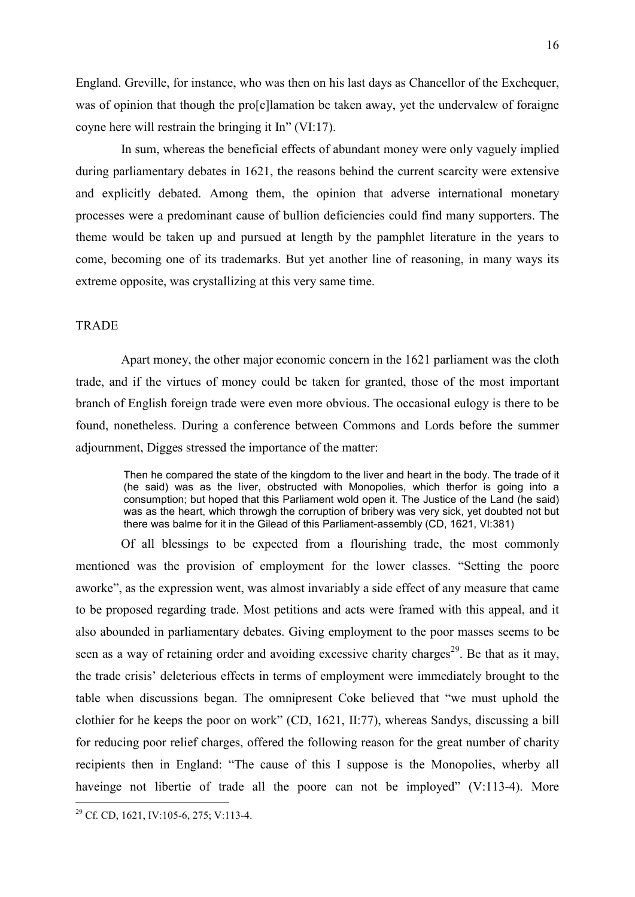England. Greville, for instance, who was then on his last days as Chancellor of the Exchequer, was of opinion that though the pro[c]lamation be taken away, yet the undervalew of foraigne coyne here will restrain the bringing it In" (VI:17).

In sum, whereas the beneficial effects of abundant money were only vaguely implied during parliamentary debates in 1621, the reasons behind the current scarcity were extensive and explicitly debated. Among them, the opinion that adverse international monetary processes were a predominant cause of bullion deficiencies could find many supporters. The theme would be taken up and pursued at length by the pamphlet literature in the years to come, becoming one of its trademarks. But yet another line of reasoning, in many ways its extreme opposite, was crystallizing at this very same time.

# **TRADE**

Apart money, the other major economic concern in the 1621 parliament was the cloth trade, and if the virtues of money could be taken for granted, those of the most important branch of English foreign trade were even more obvious. The occasional eulogy is there to be found, nonetheless. During a conference between Commons and Lords before the summer adjournment, Digges stressed the importance of the matter:

Then he compared the state of the kingdom to the liver and heart in the body. The trade of it (he said) was as the liver, obstructed with Monopolies, which therfor is going into a consumption; but hoped that this Parliament wold open it. The Justice of the Land (he said) was as the heart, which throwgh the corruption of bribery was very sick, yet doubted not but there was balme for it in the Gilead of this Parliament-assembly (CD, 1621, VI:381)

Of all blessings to be expected from a flourishing trade, the most commonly mentioned was the provision of employment for the lower classes. "Setting the poore aworke", as the expression went, was almost invariably a side effect of any measure that came to be proposed regarding trade. Most petitions and acts were framed with this appeal, and it also abounded in parliamentary debates. Giving employment to the poor masses seems to be seen as a way of retaining order and avoiding excessive charity charges<sup>29</sup>. Be that as it may, the trade crisis' deleterious effects in terms of employment were immediately brought to the table when discussions began. The omnipresent Coke believed that "we must uphold the clothier for he keeps the poor on work" (CD, 1621, II:77), whereas Sandys, discussing a bill for reducing poor relief charges, offered the following reason for the great number of charity recipients then in England: "The cause of this I suppose is the Monopolies, wherby all haveinge not libertie of trade all the poore can not be imployed" (V:113-4). More

<sup>&</sup>lt;u>.</u> <sup>29</sup> Cf. CD, 1621, IV:105-6, 275; V:113-4.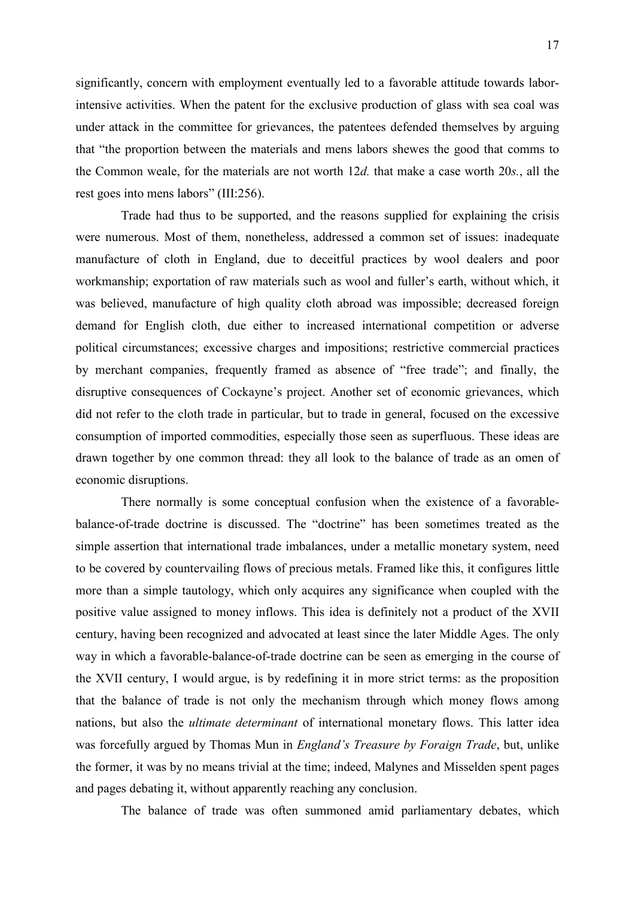significantly, concern with employment eventually led to a favorable attitude towards laborintensive activities. When the patent for the exclusive production of glass with sea coal was under attack in the committee for grievances, the patentees defended themselves by arguing that "the proportion between the materials and mens labors shewes the good that comms to the Common weale, for the materials are not worth 12*d.* that make a case worth 20*s.*, all the rest goes into mens labors" (III:256).

Trade had thus to be supported, and the reasons supplied for explaining the crisis were numerous. Most of them, nonetheless, addressed a common set of issues: inadequate manufacture of cloth in England, due to deceitful practices by wool dealers and poor workmanship; exportation of raw materials such as wool and fuller's earth, without which, it was believed, manufacture of high quality cloth abroad was impossible; decreased foreign demand for English cloth, due either to increased international competition or adverse political circumstances; excessive charges and impositions; restrictive commercial practices by merchant companies, frequently framed as absence of "free trade"; and finally, the disruptive consequences of Cockayne's project. Another set of economic grievances, which did not refer to the cloth trade in particular, but to trade in general, focused on the excessive consumption of imported commodities, especially those seen as superfluous. These ideas are drawn together by one common thread: they all look to the balance of trade as an omen of economic disruptions.

There normally is some conceptual confusion when the existence of a favorablebalance-of-trade doctrine is discussed. The "doctrine" has been sometimes treated as the simple assertion that international trade imbalances, under a metallic monetary system, need to be covered by countervailing flows of precious metals. Framed like this, it configures little more than a simple tautology, which only acquires any significance when coupled with the positive value assigned to money inflows. This idea is definitely not a product of the XVII century, having been recognized and advocated at least since the later Middle Ages. The only way in which a favorable-balance-of-trade doctrine can be seen as emerging in the course of the XVII century, I would argue, is by redefining it in more strict terms: as the proposition that the balance of trade is not only the mechanism through which money flows among nations, but also the *ultimate determinant* of international monetary flows. This latter idea was forcefully argued by Thomas Mun in *England's Treasure by Foraign Trade*, but, unlike the former, it was by no means trivial at the time; indeed, Malynes and Misselden spent pages and pages debating it, without apparently reaching any conclusion.

The balance of trade was often summoned amid parliamentary debates, which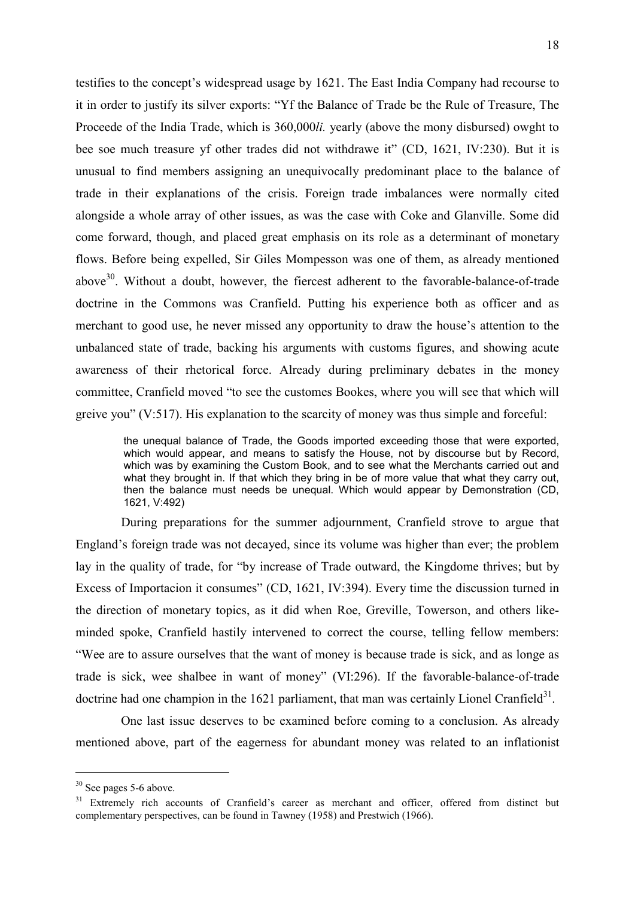testifies to the concept's widespread usage by 1621. The East India Company had recourse to it in order to justify its silver exports: "Yf the Balance of Trade be the Rule of Treasure, The Proceede of the India Trade, which is 360,000*li.* yearly (above the mony disbursed) owght to bee soe much treasure yf other trades did not withdrawe it" (CD, 1621, IV:230). But it is unusual to find members assigning an unequivocally predominant place to the balance of trade in their explanations of the crisis. Foreign trade imbalances were normally cited alongside a whole array of other issues, as was the case with Coke and Glanville. Some did come forward, though, and placed great emphasis on its role as a determinant of monetary flows. Before being expelled, Sir Giles Mompesson was one of them, as already mentioned above $30$ . Without a doubt, however, the fiercest adherent to the favorable-balance-of-trade doctrine in the Commons was Cranfield. Putting his experience both as officer and as merchant to good use, he never missed any opportunity to draw the house's attention to the unbalanced state of trade, backing his arguments with customs figures, and showing acute awareness of their rhetorical force. Already during preliminary debates in the money committee, Cranfield moved "to see the customes Bookes, where you will see that which will greive you" (V:517). His explanation to the scarcity of money was thus simple and forceful:

the unequal balance of Trade, the Goods imported exceeding those that were exported, which would appear, and means to satisfy the House, not by discourse but by Record, which was by examining the Custom Book, and to see what the Merchants carried out and what they brought in. If that which they bring in be of more value that what they carry out, then the balance must needs be unequal. Which would appear by Demonstration (CD, 1621, V:492)

During preparations for the summer adjournment, Cranfield strove to argue that England's foreign trade was not decayed, since its volume was higher than ever; the problem lay in the quality of trade, for "by increase of Trade outward, the Kingdome thrives; but by Excess of Importacion it consumes" (CD, 1621, IV:394). Every time the discussion turned in the direction of monetary topics, as it did when Roe, Greville, Towerson, and others likeminded spoke, Cranfield hastily intervened to correct the course, telling fellow members: "Wee are to assure ourselves that the want of money is because trade is sick, and as longe as trade is sick, wee shalbee in want of money" (VI:296). If the favorable-balance-of-trade doctrine had one champion in the 1621 parliament, that man was certainly Lionel Cranfield<sup>31</sup>.

One last issue deserves to be examined before coming to a conclusion. As already mentioned above, part of the eagerness for abundant money was related to an inflationist

<sup>&</sup>lt;sup>30</sup> See pages 5-6 above.

<sup>&</sup>lt;sup>31</sup> Extremely rich accounts of Cranfield's career as merchant and officer, offered from distinct but complementary perspectives, can be found in Tawney (1958) and Prestwich (1966).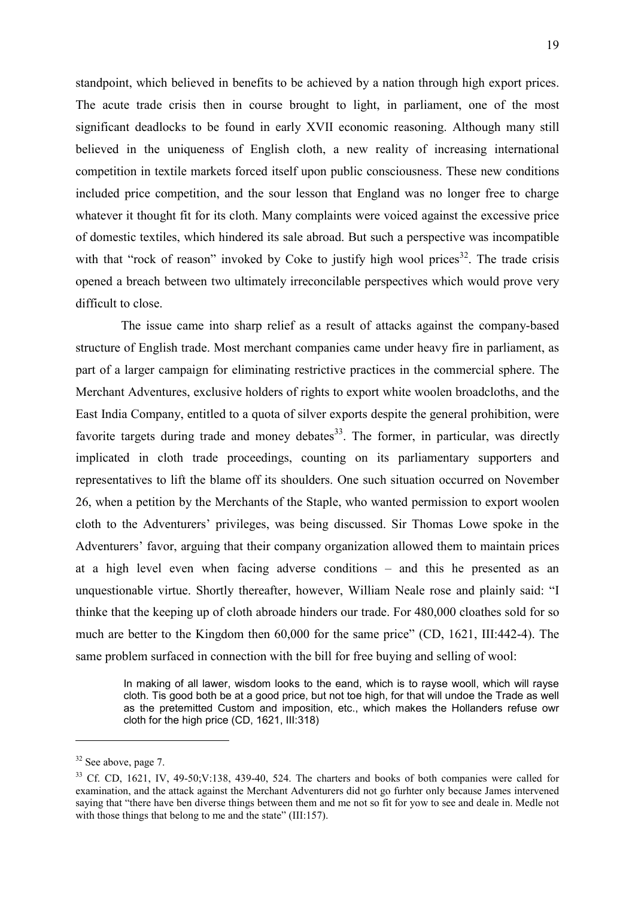standpoint, which believed in benefits to be achieved by a nation through high export prices. The acute trade crisis then in course brought to light, in parliament, one of the most significant deadlocks to be found in early XVII economic reasoning. Although many still believed in the uniqueness of English cloth, a new reality of increasing international competition in textile markets forced itself upon public consciousness. These new conditions included price competition, and the sour lesson that England was no longer free to charge whatever it thought fit for its cloth. Many complaints were voiced against the excessive price of domestic textiles, which hindered its sale abroad. But such a perspective was incompatible with that "rock of reason" invoked by Coke to justify high wool prices<sup>32</sup>. The trade crisis opened a breach between two ultimately irreconcilable perspectives which would prove very difficult to close.

The issue came into sharp relief as a result of attacks against the company-based structure of English trade. Most merchant companies came under heavy fire in parliament, as part of a larger campaign for eliminating restrictive practices in the commercial sphere. The Merchant Adventures, exclusive holders of rights to export white woolen broadcloths, and the East India Company, entitled to a quota of silver exports despite the general prohibition, were favorite targets during trade and money debates<sup>33</sup>. The former, in particular, was directly implicated in cloth trade proceedings, counting on its parliamentary supporters and representatives to lift the blame off its shoulders. One such situation occurred on November 26, when a petition by the Merchants of the Staple, who wanted permission to export woolen cloth to the Adventurers' privileges, was being discussed. Sir Thomas Lowe spoke in the Adventurers' favor, arguing that their company organization allowed them to maintain prices at a high level even when facing adverse conditions – and this he presented as an unquestionable virtue. Shortly thereafter, however, William Neale rose and plainly said: "I thinke that the keeping up of cloth abroade hinders our trade. For 480,000 cloathes sold for so much are better to the Kingdom then 60,000 for the same price" (CD, 1621, III:442-4). The same problem surfaced in connection with the bill for free buying and selling of wool:

In making of all lawer, wisdom looks to the eand, which is to rayse wooll, which will rayse cloth. Tis good both be at a good price, but not toe high, for that will undoe the Trade as well as the pretemitted Custom and imposition, etc., which makes the Hollanders refuse owr cloth for the high price (CD, 1621, III:318)

<sup>&</sup>lt;sup>32</sup> See above, page 7.

<sup>33</sup> Cf. CD, 1621, IV, 49-50;V:138, 439-40, 524. The charters and books of both companies were called for examination, and the attack against the Merchant Adventurers did not go furhter only because James intervened saying that "there have ben diverse things between them and me not so fit for yow to see and deale in. Medle not with those things that belong to me and the state" (III:157).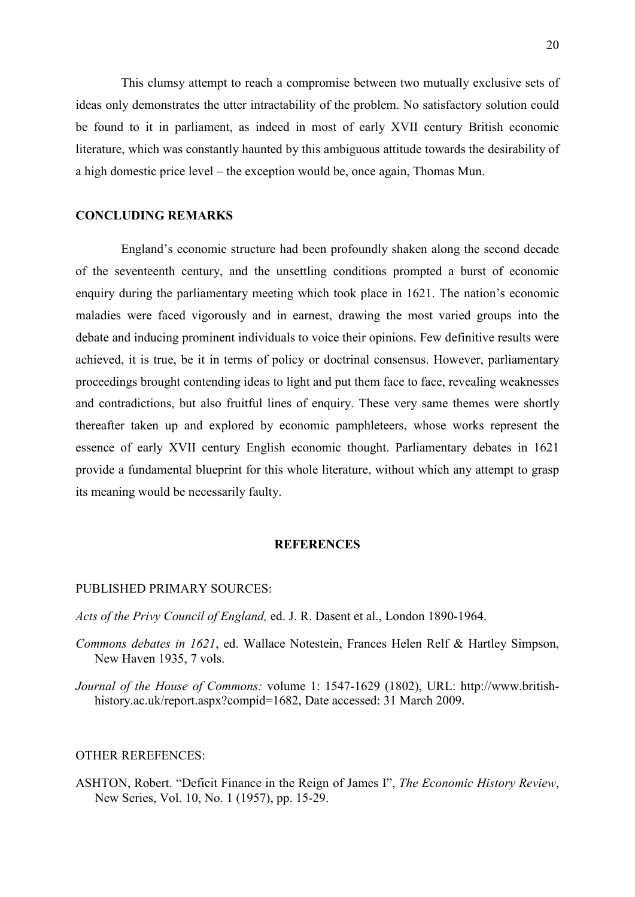This clumsy attempt to reach a compromise between two mutually exclusive sets of ideas only demonstrates the utter intractability of the problem. No satisfactory solution could be found to it in parliament, as indeed in most of early XVII century British economic literature, which was constantly haunted by this ambiguous attitude towards the desirability of a high domestic price level – the exception would be, once again, Thomas Mun.

## **CONCLUDING REMARKS**

England's economic structure had been profoundly shaken along the second decade of the seventeenth century, and the unsettling conditions prompted a burst of economic enquiry during the parliamentary meeting which took place in 1621. The nation's economic maladies were faced vigorously and in earnest, drawing the most varied groups into the debate and inducing prominent individuals to voice their opinions. Few definitive results were achieved, it is true, be it in terms of policy or doctrinal consensus. However, parliamentary proceedings brought contending ideas to light and put them face to face, revealing weaknesses and contradictions, but also fruitful lines of enquiry. These very same themes were shortly thereafter taken up and explored by economic pamphleteers, whose works represent the essence of early XVII century English economic thought. Parliamentary debates in 1621 provide a fundamental blueprint for this whole literature, without which any attempt to grasp its meaning would be necessarily faulty.

### **REFERENCES**

### PUBLISHED PRIMARY SOURCES:

*Acts of the Privy Council of England,* ed. J. R. Dasent et al., London 1890-1964.

- *Commons debates in 1621*, ed. Wallace Notestein, Frances Helen Relf & Hartley Simpson, New Haven 1935, 7 vols.
- *Journal of the House of Commons:* volume 1: 1547-1629 (1802), URL: http://www.britishhistory.ac.uk/report.aspx?compid=1682, Date accessed: 31 March 2009.

### OTHER REREFENCES:

ASHTON, Robert. "Deficit Finance in the Reign of James I", *The Economic History Review*, New Series, Vol. 10, No. 1 (1957), pp. 15-29.